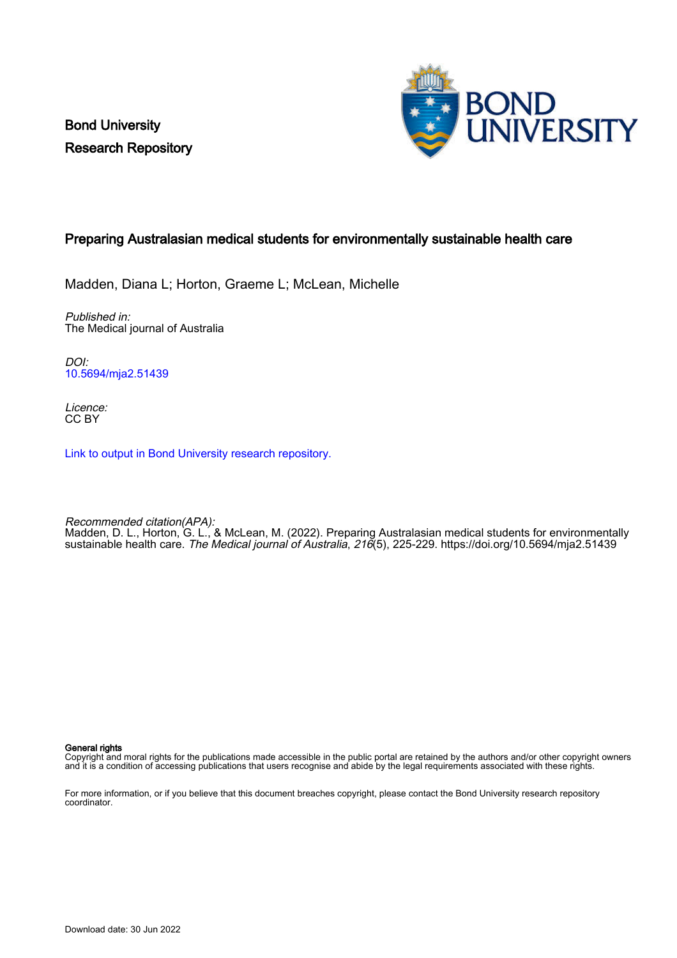Bond University Research Repository



# Preparing Australasian medical students for environmentally sustainable health care

Madden, Diana L; Horton, Graeme L; McLean, Michelle

Published in: The Medical journal of Australia

DOI: [10.5694/mja2.51439](https://doi.org/10.5694/mja2.51439)

Licence: CC BY

[Link to output in Bond University research repository.](https://research.bond.edu.au/en/publications/43fa56e2-6e45-454c-851a-3e093fdfdf25)

Recommended citation(APA): Madden, D. L., Horton, G. L., & McLean, M. (2022). Preparing Australasian medical students for environmentally sustainable health care. The Medical journal of Australia, 216(5), 225-229. <https://doi.org/10.5694/mja2.51439>

General rights

Copyright and moral rights for the publications made accessible in the public portal are retained by the authors and/or other copyright owners and it is a condition of accessing publications that users recognise and abide by the legal requirements associated with these rights.

For more information, or if you believe that this document breaches copyright, please contact the Bond University research repository coordinator.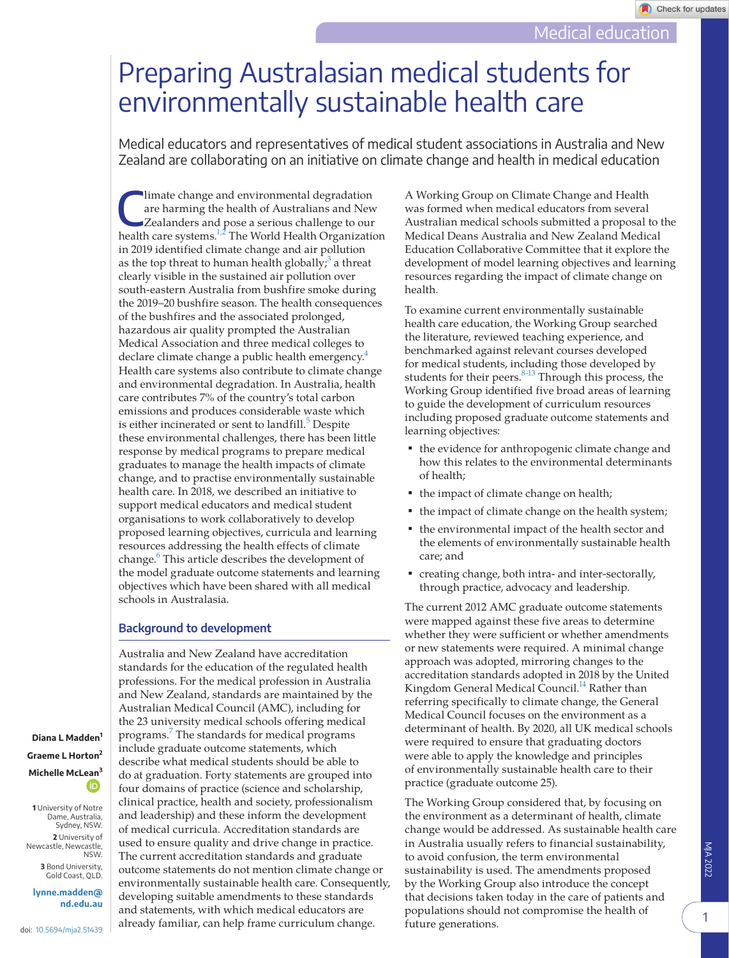# Preparing Australasian medical students for environmentally sustainable health care

Medical educators and representatives of medical student associations in Australia and New Zealand are collaborating on an initiative on climate change and health in medical education

 $\begin{array}{c} \text{limate change and environmental degradation} \\ \text{are harming the health of Australians and New Zealand.} \\ \text{Zcalanders and pose a serious challenge to our health area, and the data of the data.} \end{array}$ are harming the health of Australians and New health care systems.<sup>1,2</sup> The World Health Organization in 2019 identified climate change and air pollution as the top threat to human health globally;<sup>[3](#page-5-0)</sup> a threat clearly visible in the sustained air pollution over south-eastern Australia from bushfire smoke during the 2019–20 bushfire season. The health consequences of the bushfires and the associated prolonged, hazardous air quality prompted the Australian Medical Association and three medical colleges to declare climate change a public health emergency.<sup>[4](#page-5-1)</sup> Health care systems also contribute to climate change and environmental degradation. In Australia, health care contributes 7% of the country's total carbon emissions and produces considerable waste which is either incinerated or sent to landfill.<sup>[5](#page-5-2)</sup> Despite these environmental challenges, there has been little response by medical programs to prepare medical graduates to manage the health impacts of climate change, and to practise environmentally sustainable health care. In 2018, we described an initiative to support medical educators and medical student organisations to work collaboratively to develop proposed learning objectives, curricula and learning resources addressing the health effects of climate change.<sup>[6](#page-5-3)</sup> This article describes the development of the model graduate outcome statements and learning objectives which have been shared with all medical schools in Australasia.

# **Background to development**

Australia and New Zealand have accreditation standards for the education of the regulated health professions. For the medical profession in Australia and New Zealand, standards are maintained by the Australian Medical Council (AMC), including for the 23 university medical schools offering medical programs[.7](#page-5-4) The standards for medical programs include graduate outcome statements, which describe what medical students should be able to do at graduation. Forty statements are grouped into four domains of practice (science and scholarship, clinical practice, health and society, professionalism and leadership) and these inform the development of medical curricula. Accreditation standards are used to ensure quality and drive change in practice. The current accreditation standards and graduate outcome statements do not mention climate change or environmentally sustainable health care. Consequently, developing suitable amendments to these standards and statements, with which medical educators are already familiar, can help frame curriculum change.

**Diana L Madden<sup>1</sup> Graeme L Horton<sup>2</sup> Michelle McL[ean](https://orcid.org/0000-0002-9912-2483)<sup>3</sup>**( İD

**1** University of Notre Dame, Australia, Sydney, NSW. **2** University of Newcastle, Newcastle, NSW. **3** Bond University,

Gold Coast, QLD. **[lynne.madden@](mailto:lynne.madden@nd.edu.au)**

**[nd.edu.au](mailto:lynne.madden@nd.edu.au)**

A Working Group on Climate Change and Health was formed when medical educators from several Australian medical schools submitted a proposal to the Medical Deans Australia and New Zealand Medical Education Collaborative Committee that it explore the development of model learning objectives and learning resources regarding the impact of climate change on health.

To examine current environmentally sustainable health care education, the Working Group searched the literature, reviewed teaching experience, and benchmarked against relevant courses developed for medical students, including those developed by students for their peers. $8-13$  Through this process, the Working Group identified five broad areas of learning to guide the development of curriculum resources including proposed graduate outcome statements and learning objectives:

- the evidence for anthropogenic climate change and how this relates to the environmental determinants of health;
- the impact of climate change on health;
- the impact of climate change on the health system;
- the environmental impact of the health sector and the elements of environmentally sustainable health care; and
- creating change, both intra- and inter-sectorally, through practice, advocacy and leadership.

The current 2012 AMC graduate outcome statements were mapped against these five areas to determine whether they were sufficient or whether amendments or new statements were required. A minimal change approach was adopted, mirroring changes to the accreditation standards adopted in 2018 by the United Kingdom General Medical Council.<sup>14</sup> Rather than referring specifically to climate change, the General Medical Council focuses on the environment as a determinant of health. By 2020, all UK medical schools were required to ensure that graduating doctors were able to apply the knowledge and principles of environmentally sustainable health care to their practice (graduate outcome 25).

The Working Group considered that, by focusing on the environment as a determinant of health, climate change would be addressed. As sustainable health care in Australia usually refers to financial sustainability, to avoid confusion, the term environmental sustainability is used. The amendments proposed by the Working Group also introduce the concept that decisions taken today in the care of patients and populations should not compromise the health of future generations.

1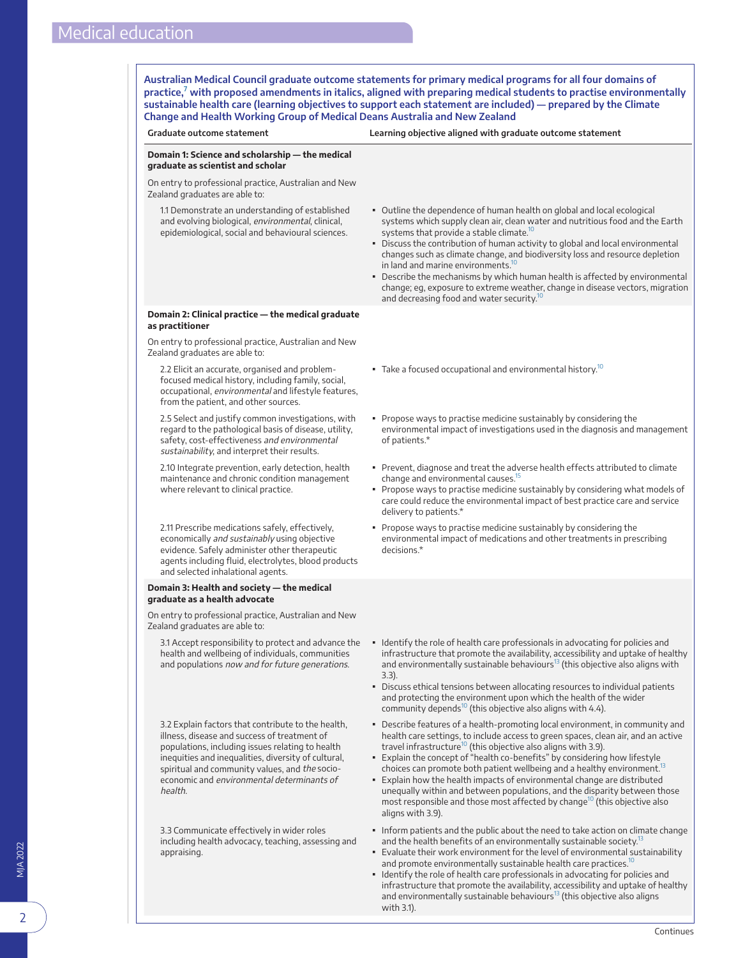<span id="page-2-0"></span>**Australian Medical Council graduate outcome statements for primary medical programs for all four domains of practice,[7](#page-5-4) with proposed amendments in italics, aligned with preparing medical students to practise environmentally sustainable health care (learning objectives to support each statement are included) — prepared by the Climate Change and Health Working Group of Medical Deans Australia and New Zealand**

### **Graduate outcome statement Learning objective aligned with graduate outcome statement**



with 3.1).

infrastructure that promote the availability, accessibility and uptake of healthy and environmentally sustainable behaviours<sup>[13](#page-5-9)</sup> (this objective also aligns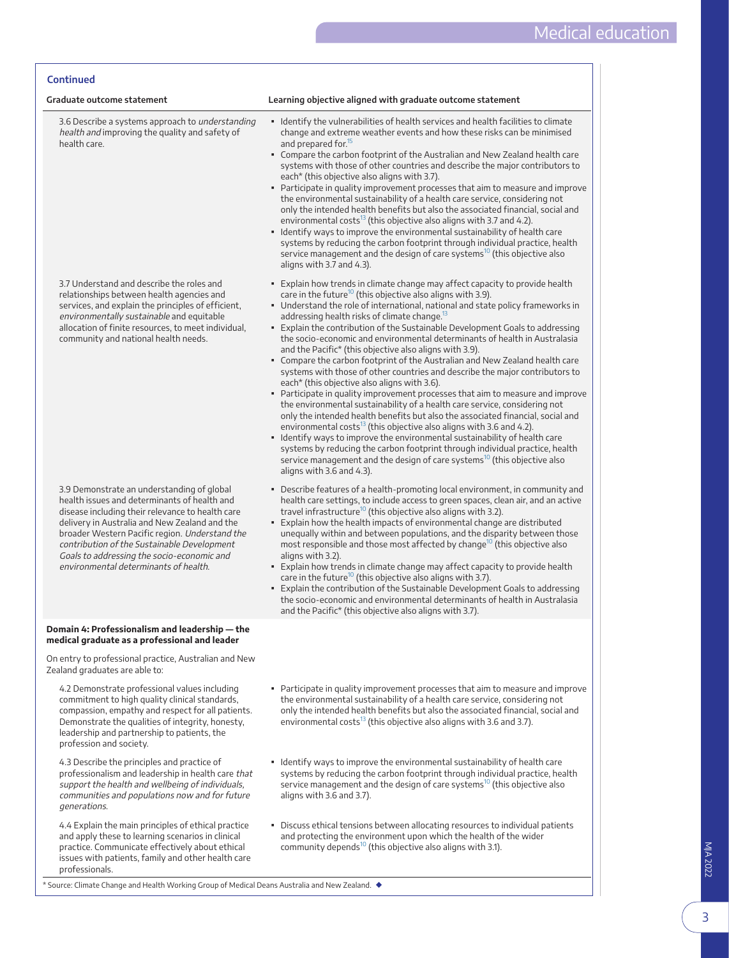| <b>Continued</b>                                                                                                                                                                                                                                                                                                                                                                        |                                                                                                                                                                                                                                                                                                                                                                                                                                                                                                                                                                                                                                                                                                                                                                                                                                                                                                                                                                                                                                                                                                                                                                                                                                                                                                                                                                      |
|-----------------------------------------------------------------------------------------------------------------------------------------------------------------------------------------------------------------------------------------------------------------------------------------------------------------------------------------------------------------------------------------|----------------------------------------------------------------------------------------------------------------------------------------------------------------------------------------------------------------------------------------------------------------------------------------------------------------------------------------------------------------------------------------------------------------------------------------------------------------------------------------------------------------------------------------------------------------------------------------------------------------------------------------------------------------------------------------------------------------------------------------------------------------------------------------------------------------------------------------------------------------------------------------------------------------------------------------------------------------------------------------------------------------------------------------------------------------------------------------------------------------------------------------------------------------------------------------------------------------------------------------------------------------------------------------------------------------------------------------------------------------------|
| Graduate outcome statement                                                                                                                                                                                                                                                                                                                                                              | Learning objective aligned with graduate outcome statement                                                                                                                                                                                                                                                                                                                                                                                                                                                                                                                                                                                                                                                                                                                                                                                                                                                                                                                                                                                                                                                                                                                                                                                                                                                                                                           |
| 3.6 Describe a systems approach to understanding<br>health and improving the quality and safety of<br>health care.                                                                                                                                                                                                                                                                      | • Identify the vulnerabilities of health services and health facilities to climate<br>change and extreme weather events and how these risks can be minimised<br>and prepared for. <sup>15</sup><br>• Compare the carbon footprint of the Australian and New Zealand health care<br>systems with those of other countries and describe the major contributors to<br>each* (this objective also aligns with 3.7).<br>• Participate in quality improvement processes that aim to measure and improve<br>the environmental sustainability of a health care service, considering not<br>only the intended health benefits but also the associated financial, social and<br>environmental costs $^{13}$ (this objective also aligns with 3.7 and 4.2).<br>• Identify ways to improve the environmental sustainability of health care<br>systems by reducing the carbon footprint through individual practice, health<br>service management and the design of care systems <sup>10</sup> (this objective also<br>aligns with 3.7 and 4.3).                                                                                                                                                                                                                                                                                                                                  |
| 3.7 Understand and describe the roles and<br>relationships between health agencies and<br>services, and explain the principles of efficient,<br>environmentally sustainable and equitable<br>allocation of finite resources, to meet individual,<br>community and national health needs.                                                                                                | . Explain how trends in climate change may affect capacity to provide health<br>care in the future <sup>10</sup> (this objective also aligns with 3.9).<br>• Understand the role of international, national and state policy frameworks in<br>addressing health risks of climate change. <sup>13</sup><br>. Explain the contribution of the Sustainable Development Goals to addressing<br>the socio-economic and environmental determinants of health in Australasia<br>and the Pacific* (this objective also aligns with 3.9).<br>• Compare the carbon footprint of the Australian and New Zealand health care<br>systems with those of other countries and describe the major contributors to<br>each* (this objective also aligns with 3.6).<br>• Participate in quality improvement processes that aim to measure and improve<br>the environmental sustainability of a health care service, considering not<br>only the intended health benefits but also the associated financial, social and<br>environmental costs $^{13}$ (this objective also aligns with 3.6 and 4.2).<br>• Identify ways to improve the environmental sustainability of health care<br>systems by reducing the carbon footprint through individual practice, health<br>service management and the design of care systems <sup>10</sup> (this objective also<br>aligns with 3.6 and 4.3). |
| 3.9 Demonstrate an understanding of global<br>health issues and determinants of health and<br>disease including their relevance to health care<br>delivery in Australia and New Zealand and the<br>broader Western Pacific region. Understand the<br>contribution of the Sustainable Development<br>Goals to addressing the socio-economic and<br>environmental determinants of health. | • Describe features of a health-promoting local environment, in community and<br>health care settings, to include access to green spaces, clean air, and an active<br>travel infrastructure <sup>10</sup> (this objective also aligns with 3.2).<br>. Explain how the health impacts of environmental change are distributed<br>unequally within and between populations, and the disparity between those<br>most responsible and those most affected by change <sup>10</sup> (this objective also<br>aligns with 3.2).<br>• Explain how trends in climate change may affect capacity to provide health<br>care in the future <sup>10</sup> (this objective also aligns with 3.7).<br>. Explain the contribution of the Sustainable Development Goals to addressing<br>the socio-economic and environmental determinants of health in Australasia<br>and the Pacific* (this objective also aligns with 3.7).                                                                                                                                                                                                                                                                                                                                                                                                                                                         |
| Domain 4: Professionalism and leadership — the<br>medical graduate as a professional and leader                                                                                                                                                                                                                                                                                         |                                                                                                                                                                                                                                                                                                                                                                                                                                                                                                                                                                                                                                                                                                                                                                                                                                                                                                                                                                                                                                                                                                                                                                                                                                                                                                                                                                      |
| On entry to professional practice, Australian and New<br>Zealand graduates are able to:                                                                                                                                                                                                                                                                                                 |                                                                                                                                                                                                                                                                                                                                                                                                                                                                                                                                                                                                                                                                                                                                                                                                                                                                                                                                                                                                                                                                                                                                                                                                                                                                                                                                                                      |
| 4.2 Demonstrate professional values including<br>commitment to high quality clinical standards,<br>compassion, empathy and respect for all patients.<br>Demonstrate the qualities of integrity, honesty,<br>leadership and partnership to patients, the<br>profession and society.                                                                                                      | • Participate in quality improvement processes that aim to measure and improve<br>the environmental sustainability of a health care service, considering not<br>only the intended health benefits but also the associated financial, social and<br>environmental costs $^{13}$ (this objective also aligns with 3.6 and 3.7).                                                                                                                                                                                                                                                                                                                                                                                                                                                                                                                                                                                                                                                                                                                                                                                                                                                                                                                                                                                                                                        |
| 4.3 Describe the principles and practice of<br>professionalism and leadership in health care that<br>support the health and wellbeing of individuals,<br>communities and populations now and for future<br>generations.                                                                                                                                                                 | • Identify ways to improve the environmental sustainability of health care<br>systems by reducing the carbon footprint through individual practice, health<br>service management and the design of care systems <sup>10</sup> (this objective also<br>aligns with 3.6 and 3.7).                                                                                                                                                                                                                                                                                                                                                                                                                                                                                                                                                                                                                                                                                                                                                                                                                                                                                                                                                                                                                                                                                      |
| 4.4 Explain the main principles of ethical practice<br>and apply these to learning scenarios in clinical<br>practice. Communicate effectively about ethical<br>issues with patients, family and other health care<br>professionals.<br>* Source: Climate Change and Health Working Group of Medical Deans Australia and New Zealand. <                                                  | • Discuss ethical tensions between allocating resources to individual patients<br>and protecting the environment upon which the health of the wider<br>community depends <sup>10</sup> (this objective also aligns with 3.1).                                                                                                                                                                                                                                                                                                                                                                                                                                                                                                                                                                                                                                                                                                                                                                                                                                                                                                                                                                                                                                                                                                                                        |

\* Source: Climate Change and Health Working Group of Medical Deans Australia and New Zealand. ◆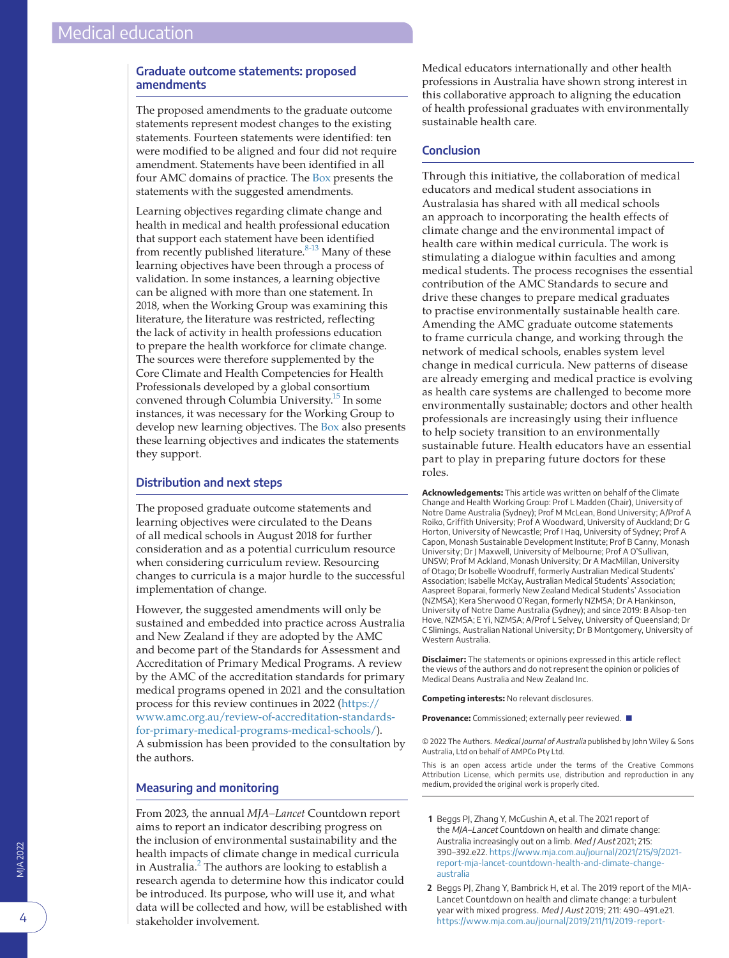# **Graduate outcome statements: proposed amendments**

The proposed amendments to the graduate outcome statements represent modest changes to the existing statements. Fourteen statements were identified: ten were modified to be aligned and four did not require amendment. Statements have been identified in all four AMC domains of practice. The [Box](#page-2-0) presents the statements with the suggested amendments.

Learning objectives regarding climate change and health in medical and health professional education that support each statement have been identified from recently published literature.<sup>8-13</sup> Many of these learning objectives have been through a process of validation. In some instances, a learning objective can be aligned with more than one statement. In 2018, when the Working Group was examining this literature, the literature was restricted, reflecting the lack of activity in health professions education to prepare the health workforce for climate change. The sources were therefore supplemented by the Core Climate and Health Competencies for Health Professionals developed by a global consortium convened through Columbia University[.15](#page-5-8) In some instances, it was necessary for the Working Group to develop new learning objectives. The [Box](#page-2-0) also presents these learning objectives and indicates the statements they support.

# **Distribution and next steps**

The proposed graduate outcome statements and learning objectives were circulated to the Deans of all medical schools in August 2018 for further consideration and as a potential curriculum resource when considering curriculum review. Resourcing changes to curricula is a major hurdle to the successful implementation of change.

However, the suggested amendments will only be sustained and embedded into practice across Australia and New Zealand if they are adopted by the AMC and become part of the Standards for Assessment and Accreditation of Primary Medical Programs. A review by the AMC of the accreditation standards for primary medical programs opened in 2021 and the consultation process for this review continues in 2022 ([https://](https://www.amc.org.au/review-of-accreditation-standards-for-primary-medical-programs-medical-schools/) [www.amc.org.au/review-of-accreditation-standards](https://www.amc.org.au/review-of-accreditation-standards-for-primary-medical-programs-medical-schools/)[for-primary-medical-programs-medical-schools/\)](https://www.amc.org.au/review-of-accreditation-standards-for-primary-medical-programs-medical-schools/). A submission has been provided to the consultation by the authors.

## **Measuring and monitoring**

From 2023, the annual *MJA–Lancet* Countdown report aims to report an indicator describing progress on the inclusion of environmental sustainability and the health impacts of climate change in medical curricula in Australia.<sup>[2](#page-4-1)</sup> The authors are looking to establish a research agenda to determine how this indicator could be introduced. Its purpose, who will use it, and what data will be collected and how, will be established with stakeholder involvement.

Medical educators internationally and other health professions in Australia have shown strong interest in this collaborative approach to aligning the education of health professional graduates with environmentally sustainable health care.

# **Conclusion**

Through this initiative, the collaboration of medical educators and medical student associations in Australasia has shared with all medical schools an approach to incorporating the health effects of climate change and the environmental impact of health care within medical curricula. The work is stimulating a dialogue within faculties and among medical students. The process recognises the essential contribution of the AMC Standards to secure and drive these changes to prepare medical graduates to practise environmentally sustainable health care. Amending the AMC graduate outcome statements to frame curricula change, and working through the network of medical schools, enables system level change in medical curricula. New patterns of disease are already emerging and medical practice is evolving as health care systems are challenged to become more environmentally sustainable; doctors and other health professionals are increasingly using their influence to help society transition to an environmentally sustainable future. Health educators have an essential part to play in preparing future doctors for these roles.

**Acknowledgements:** This article was written on behalf of the Climate Change and Health Working Group: Prof L Madden (Chair), University of Notre Dame Australia (Sydney); Prof M McLean, Bond University; A/Prof A Roiko, Griffith University; Prof A Woodward, University of Auckland; Dr G Horton, University of Newcastle; Prof I Haq, University of Sydney; Prof A Capon, Monash Sustainable Development Institute; Prof B Canny, Monash University; Dr J Maxwell, University of Melbourne; Prof A O'Sullivan, UNSW; Prof M Ackland, Monash University; Dr A MacMillan, University of Otago; Dr Isobelle Woodruff, formerly Australian Medical Students' Association; Isabelle McKay, Australian Medical Students' Association; Aaspreet Boparai, formerly New Zealand Medical Students' Association (NZMSA); Kera Sherwood O'Regan, formerly NZMSA; Dr A Hankinson, University of Notre Dame Australia (Sydney); and since 2019: B Alsop-ten Hove, NZMSA; E Yi, NZMSA; A/Prof L Selvey, University of Queensland; Dr C Slimings, Australian National University; Dr B Montgomery, University of Western Australia.

**Disclaimer:** The statements or opinions expressed in this article reflect the views of the authors and do not represent the opinion or policies of Medical Deans Australia and New Zealand Inc.

**Competing interests:** No relevant disclosures.

**Provenance:** Commissioned; externally peer reviewed. ■

© 2022 The Authors. Medical Journal of Australia published by John Wiley & Sons Australia, Ltd on behalf of AMPCo Pty Ltd.

This is an open access article under the terms of the Creative Commons Attribution License, which permits use, distribution and reproduction in any medium, provided the original work is properly cited.

- <span id="page-4-0"></span>**1** Beggs PJ, Zhang Y, McGushin A, et al. The 2021 report of the MJA-Lancet Countdown on health and climate change: Australia increasingly out on a limb. Med J Aust 2021; 215: 390–392.e22. [https://www.mja.com.au/journal/2021/215/9/2021](https://www.mja.com.au/journal/2021/215/9/2021-report-mja-lancet-countdown-health-and-climate-change-australia) [report-mja-lancet-countdown-health-and-climate-change](https://www.mja.com.au/journal/2021/215/9/2021-report-mja-lancet-countdown-health-and-climate-change-australia)[australia](https://www.mja.com.au/journal/2021/215/9/2021-report-mja-lancet-countdown-health-and-climate-change-australia)
- <span id="page-4-1"></span>**2** Beggs PJ, Zhang Y, Bambrick H, et al. The 2019 report of the MJA-Lancet Countdown on health and climate change: a turbulent year with mixed progress. Med J Aust 2019; 211: 490–491.e21. [https://www.mja.com.au/journal/2019/211/11/2019-report-](https://www.mja.com.au/journal/2019/211/11/2019-report-mja-lancet-countdown-health-and-climate-change-turbulent-year-mixed)

4